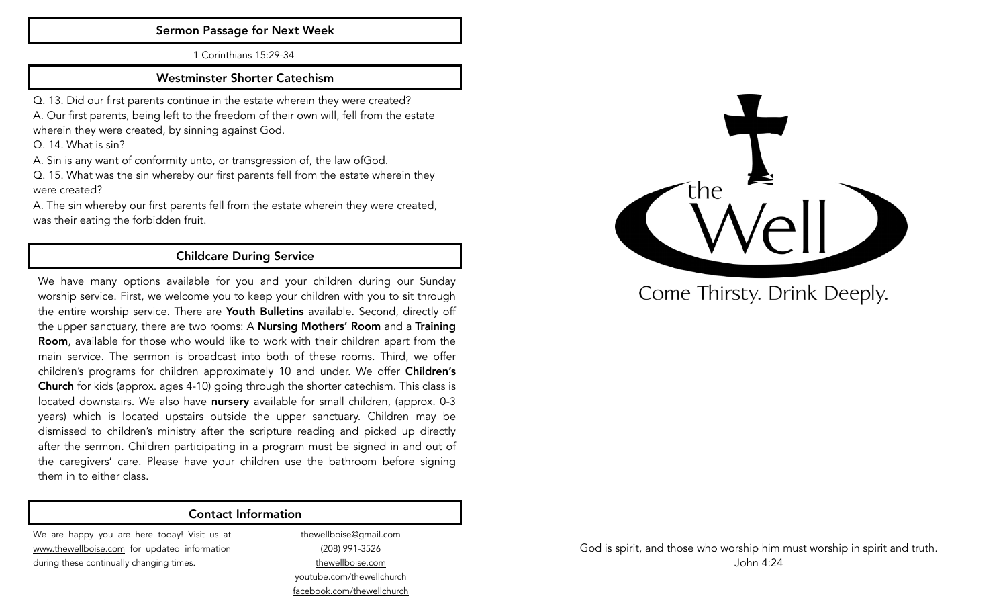#### Sermon Passage for Next Week

1 Corinthians 15:29-34

## Westminster Shorter Catechism

Q. 13. Did our first parents continue in the estate wherein they were created? A. Our first parents, being left to the freedom of their own will, fell from the estate wherein they were created, by sinning against God.

Q. 14. What is sin?

A. Sin is any want of conformity unto, or transgression of, the law ofGod.

Q. 15. What was the sin whereby our first parents fell from the estate wherein they were created?

A. The sin whereby our first parents fell from the estate wherein they were created, was their eating the forbidden fruit.

# Childcare During Service

We have many options available for you and your children during our Sunday worship service. First, we welcome you to keep your children with you to sit through the entire worship service. There are Youth Bulletins available. Second, directly off the upper sanctuary, there are two rooms: A **Nursing Mothers' Room** and a Training Room, available for those who would like to work with their children apart from the main service. The sermon is broadcast into both of these rooms. Third, we offer children's programs for children approximately 10 and under. We offer **Children's** Church for kids (approx. ages 4-10) going through the shorter catechism. This class is located downstairs. We also have nursery available for small children, (approx. 0-3 years) which is located upstairs outside the upper sanctuary. Children may be dismissed to children's ministry after the scripture reading and picked up directly after the sermon. Children participating in a program must be signed in and out of the caregivers' care. Please have your children use the bathroom before signing them in to either class.

#### Contact Information

We are happy you are here today! Visit us at [www.thewellboise.com](http://www.thewellboise.com) for updated information during these continually changing times.

thewellboise@gmail.com (208) 991-3526 [thewellboise.com](http://thewellboise.com) youtube.com/thewellchurch [facebook.com/thewellchurch](http://facebook.com/thewellchurch)



Come Thirsty. Drink Deeply.

God is spirit, and those who worship him must worship in spirit and truth. John 4:24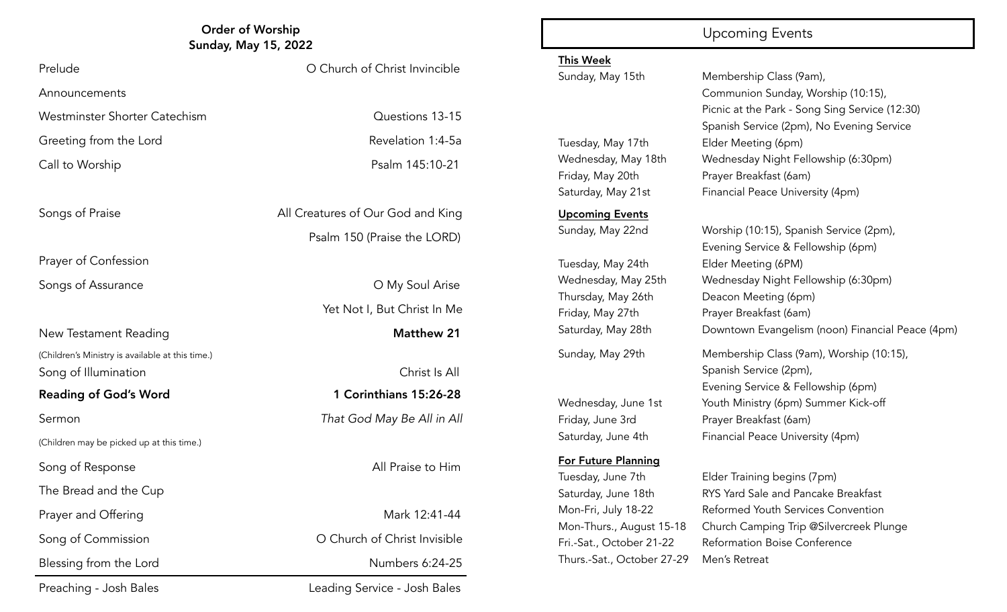# Order of Worship Upcoming Events Sunday, May 15, 2022

Announcements

Westminster Shorter Catechism Questions 13-15

Greeting from the Lord **Revelation 1:4-5a** 

Prayer of Confession

New Testament Reading Matthew 21 (Children's Ministry is available at this time.) Song of Illumination **Christ** Is All Reading of God's Word 1 Corinthians 15:26-28 Sermon *That God May Be All in All* (Children may be picked up at this time.) Song of Response **All Praise to Him** The Bread and the Cup

Preaching - Josh Bales **Leading Service - Josh Bales** 

Prelude O Church of Christ Invincible

Call to Worship **Psalm 145:10-21** 

Songs of Praise **All Creatures of Our God and King** Psalm 150 (Praise the LORD)

Songs of Assurance **O My Soul Arise** Yet Not I, But Christ In Me

Prayer and Offering Mark 12:41-44 Song of Commission Commission Commission Commission Commission Commission Commission Commission Commission Comm Blessing from the Lord Numbers 6:24-25

This Week

Sunday, May 15th Membership Class (9am),

Tuesday, May 17th Elder Meeting (6pm) Friday, May 20th Prayer Breakfast (6am)

Upcoming Events

Tuesday, May 24th Elder Meeting (6PM) Friday, May 27th Prayer Breakfast (6am)

For Future Planning

Thurs.-Sat., October 27-29 Men's Retreat

Communion Sunday, Worship (10:15), Picnic at the Park - Song Sing Service (12:30) Spanish Service (2pm), No Evening Service Wednesday, May 18th Wednesday Night Fellowship (6:30pm) Saturday, May 21st Financial Peace University (4pm)

Sunday, May 22nd Worship (10:15), Spanish Service (2pm), Evening Service & Fellowship (6pm) Wednesday, May 25th Wednesday Night Fellowship (6:30pm) Thursday, May 26th Deacon Meeting (6pm) Saturday, May 28th Downtown Evangelism (noon) Financial Peace (4pm) Sunday, May 29th Membership Class (9am), Worship (10:15),

Spanish Service (2pm), Evening Service & Fellowship (6pm) Wednesday, June 1st Youth Ministry (6pm) Summer Kick-off Friday, June 3rd Prayer Breakfast (6am) Saturday, June 4th Financial Peace University (4pm)

Tuesday, June 7th Elder Training begins (7pm) Saturday, June 18th RYS Yard Sale and Pancake Breakfast Mon-Fri, July 18-22 Reformed Youth Services Convention Mon-Thurs., August 15-18 Church Camping Trip @Silvercreek Plunge Fri.-Sat., October 21-22 Reformation Boise Conference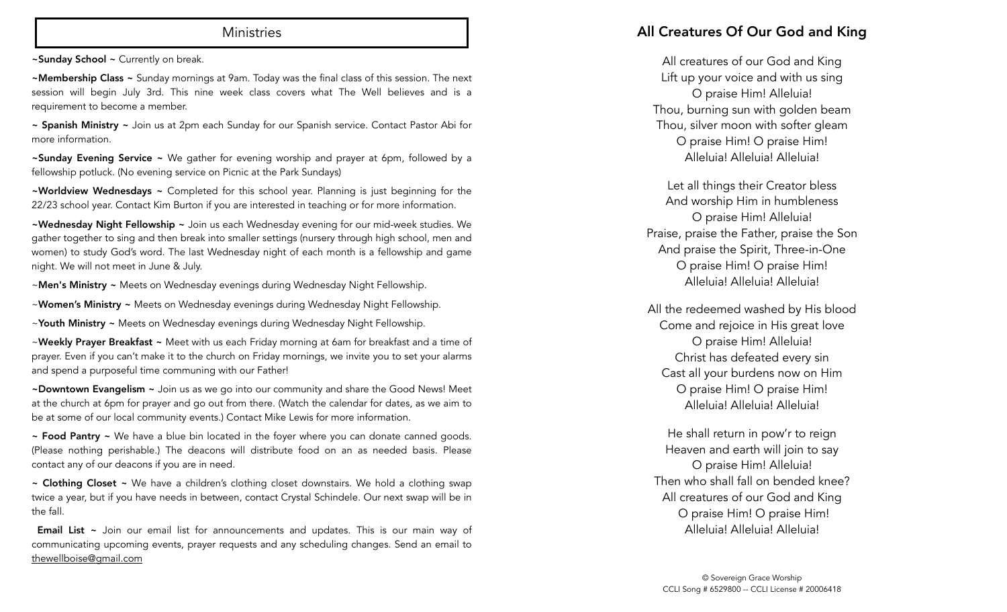#### **Ministries**

~Sunday School ~ Currently on break.

~Membership Class ~ Sunday mornings at 9am. Today was the final class of this session. The next session will begin July 3rd. This nine week class covers what The Well believes and is a requirement to become a member.

~ Spanish Ministry ~ Join us at 2pm each Sunday for our Spanish service. Contact Pastor Abi for more information.

~Sunday Evening Service ~ We gather for evening worship and prayer at 6pm, followed by a fellowship potluck. (No evening service on Picnic at the Park Sundays)

~Worldview Wednesdays ~ Completed for this school year. Planning is just beginning for the 22/23 school year. Contact Kim Burton if you are interested in teaching or for more information.

~Wednesday Night Fellowship ~ Join us each Wednesday evening for our mid-week studies. We gather together to sing and then break into smaller settings (nursery through high school, men and women) to study God's word. The last Wednesday night of each month is a fellowship and game night. We will not meet in June & July.

~Men's Ministry ~ Meets on Wednesday evenings during Wednesday Night Fellowship.

~Women's Ministry ~ Meets on Wednesday evenings during Wednesday Night Fellowship.

~Youth Ministry ~ Meets on Wednesday evenings during Wednesday Night Fellowship.

~Weekly Prayer Breakfast ~ Meet with us each Friday morning at 6am for breakfast and a time of prayer. Even if you can't make it to the church on Friday mornings, we invite you to set your alarms and spend a purposeful time communing with our Father!

~Downtown Evangelism ~ Join us as we go into our community and share the Good News! Meet at the church at 6pm for prayer and go out from there. (Watch the calendar for dates, as we aim to be at some of our local community events.) Contact Mike Lewis for more information.

 $\sim$  Food Pantry  $\sim$  We have a blue bin located in the foyer where you can donate canned goods. (Please nothing perishable.) The deacons will distribute food on an as needed basis. Please contact any of our deacons if you are in need.

~ Clothing Closet ~ We have a children's clothing closet downstairs. We hold a clothing swap twice a year, but if you have needs in between, contact Crystal Schindele. Our next swap will be in the fall.

Email List ~ Join our email list for announcements and updates. This is our main way of communicating upcoming events, prayer requests and any scheduling changes. Send an email to [thewellboise@gmail.com](mailto:thewellboise@gmail.com)

# All Creatures Of Our God and King

All creatures of our God and King Lift up your voice and with us sing O praise Him! Alleluia! Thou, burning sun with golden beam Thou, silver moon with softer gleam O praise Him! O praise Him! Alleluia! Alleluia! Alleluia!

Let all things their Creator bless And worship Him in humbleness O praise Him! Alleluia! Praise, praise the Father, praise the Son And praise the Spirit, Three-in-One O praise Him! O praise Him! Alleluia! Alleluia! Alleluia!

All the redeemed washed by His blood Come and rejoice in His great love O praise Him! Alleluia! Christ has defeated every sin Cast all your burdens now on Him O praise Him! O praise Him! Alleluia! Alleluia! Alleluia!

He shall return in pow'r to reign Heaven and earth will join to say O praise Him! Alleluia! Then who shall fall on bended knee? All creatures of our God and King O praise Him! O praise Him! Alleluia! Alleluia! Alleluia!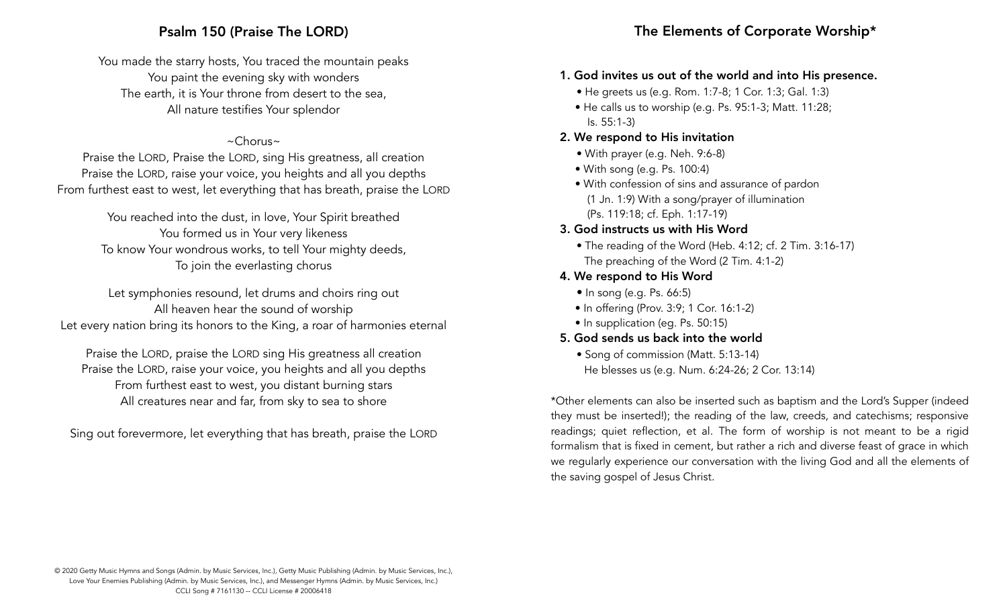# Psalm 150 (Praise The LORD)

You made the starry hosts, You traced the mountain peaks You paint the evening sky with wonders The earth, it is Your throne from desert to the sea, All nature testifies Your splendor

# ~Chorus~

Praise the LORD, Praise the LORD, sing His greatness, all creation Praise the LORD, raise your voice, you heights and all you depths From furthest east to west, let everything that has breath, praise the LORD

> You reached into the dust, in love, Your Spirit breathed You formed us in Your very likeness To know Your wondrous works, to tell Your mighty deeds, To join the everlasting chorus

Let symphonies resound, let drums and choirs ring out All heaven hear the sound of worship Let every nation bring its honors to the King, a roar of harmonies eternal

Praise the LORD, praise the LORD sing His greatness all creation Praise the LORD, raise your voice, you heights and all you depths From furthest east to west, you distant burning stars All creatures near and far, from sky to sea to shore

Sing out forevermore, let everything that has breath, praise the LORD

# 1. God invites us out of the world and into His presence.

- He greets us (e.g. Rom. 1:7-8; 1 Cor. 1:3; Gal. 1:3)
- He calls us to worship (e.g. Ps. 95:1-3; Matt. 11:28; Is. 55:1-3)

# 2. We respond to His invitation

- With prayer (e.g. Neh. 9:6-8)
- With song (e.g. Ps. 100:4)
- With confession of sins and assurance of pardon (1 Jn. 1:9) With a song/prayer of illumination (Ps. 119:18; cf. Eph. 1:17-19)

# 3. God instructs us with His Word

- The reading of the Word (Heb. 4:12; cf. 2 Tim. 3:16-17) The preaching of the Word (2 Tim. 4:1-2)
- 4. We respond to His Word
	- In song (e.g. Ps. 66:5)
	- In offering (Prov. 3:9; 1 Cor. 16:1-2)
	- In supplication (eq. Ps. 50:15)

# 5. God sends us back into the world

 • Song of commission (Matt. 5:13-14) He blesses us (e.g. Num. 6:24-26; 2 Cor. 13:14)

\*Other elements can also be inserted such as baptism and the Lord's Supper (indeed they must be inserted!); the reading of the law, creeds, and catechisms; responsive readings; quiet reflection, et al. The form of worship is not meant to be a rigid formalism that is fixed in cement, but rather a rich and diverse feast of grace in which we regularly experience our conversation with the living God and all the elements of the saving gospel of Jesus Christ.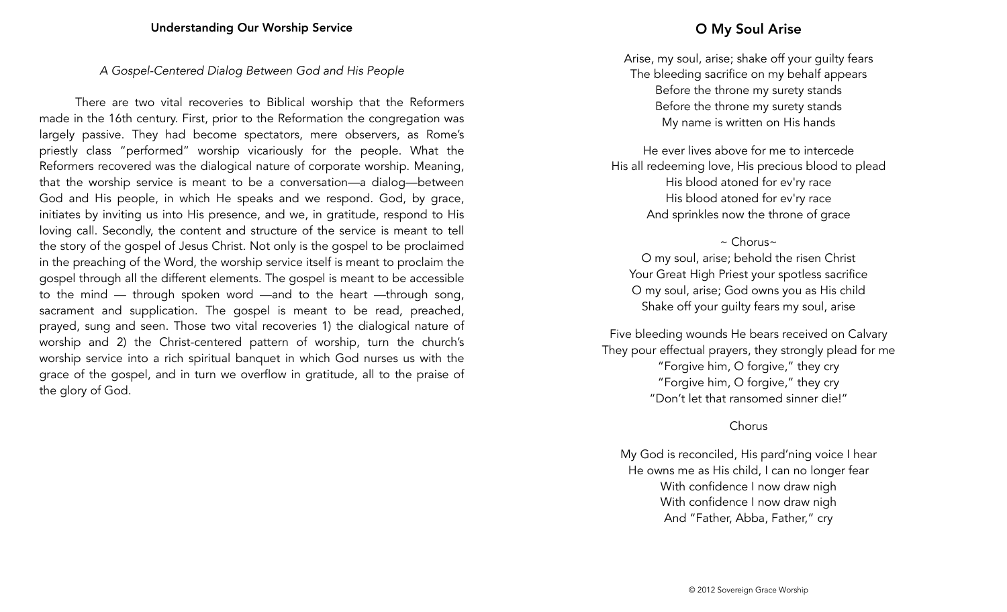#### *A Gospel-Centered Dialog Between God and His People*

There are two vital recoveries to Biblical worship that the Reformers made in the 16th century. First, prior to the Reformation the congregation was largely passive. They had become spectators, mere observers, as Rome's priestly class "performed" worship vicariously for the people. What the Reformers recovered was the dialogical nature of corporate worship. Meaning, that the worship service is meant to be a conversation—a dialog—between God and His people, in which He speaks and we respond. God, by grace, initiates by inviting us into His presence, and we, in gratitude, respond to His loving call. Secondly, the content and structure of the service is meant to tell the story of the gospel of Jesus Christ. Not only is the gospel to be proclaimed in the preaching of the Word, the worship service itself is meant to proclaim the gospel through all the different elements. The gospel is meant to be accessible to the mind — through spoken word —and to the heart —through song, sacrament and supplication. The gospel is meant to be read, preached, prayed, sung and seen. Those two vital recoveries 1) the dialogical nature of worship and 2) the Christ-centered pattern of worship, turn the church's worship service into a rich spiritual banquet in which God nurses us with the grace of the gospel, and in turn we overflow in gratitude, all to the praise of the glory of God.

# O My Soul Arise

Arise, my soul, arise; shake off your guilty fears The bleeding sacrifice on my behalf appears Before the throne my surety stands Before the throne my surety stands My name is written on His hands

He ever lives above for me to intercede His all redeeming love, His precious blood to plead His blood atoned for ev'ry race His blood atoned for ev'ry race And sprinkles now the throne of grace

#### $\sim$  Chorus $\sim$

O my soul, arise; behold the risen Christ Your Great High Priest your spotless sacrifice O my soul, arise; God owns you as His child Shake off your guilty fears my soul, arise

Five bleeding wounds He bears received on Calvary They pour effectual prayers, they strongly plead for me "Forgive him, O forgive," they cry "Forgive him, O forgive," they cry "Don't let that ransomed sinner die!"

#### Chorus

My God is reconciled, His pard'ning voice I hear He owns me as His child, I can no longer fear With confidence I now draw nigh With confidence I now draw nigh And "Father, Abba, Father," cry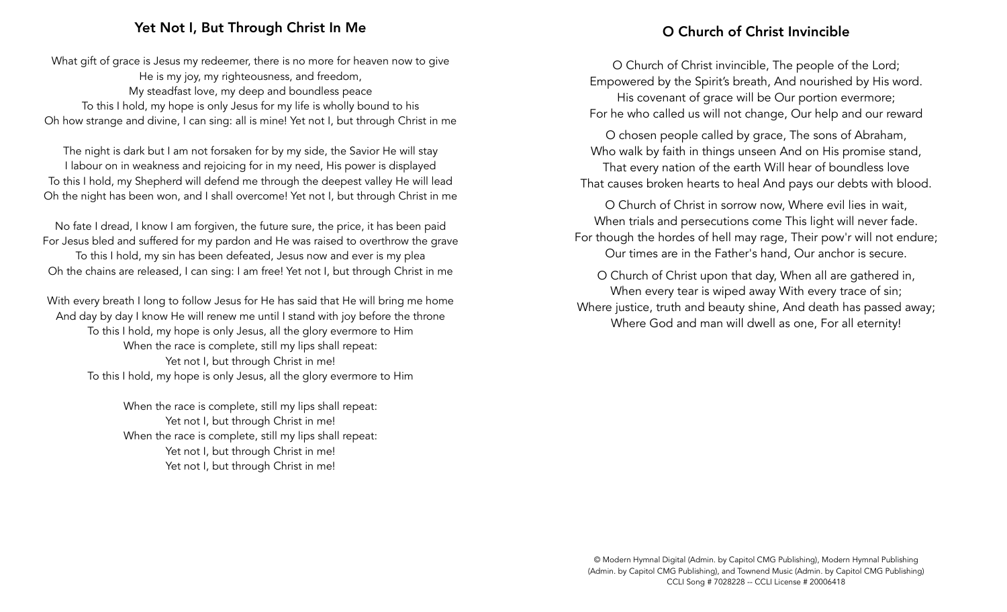# Yet Not I, But Through Christ In Me

What gift of grace is Jesus my redeemer, there is no more for heaven now to give He is my joy, my righteousness, and freedom, My steadfast love, my deep and boundless peace To this I hold, my hope is only Jesus for my life is wholly bound to his Oh how strange and divine, I can sing: all is mine! Yet not I, but through Christ in me

The night is dark but I am not forsaken for by my side, the Savior He will stay I labour on in weakness and rejoicing for in my need, His power is displayed To this I hold, my Shepherd will defend me through the deepest valley He will lead Oh the night has been won, and I shall overcome! Yet not I, but through Christ in me

No fate I dread, I know I am forgiven, the future sure, the price, it has been paid For Jesus bled and suffered for my pardon and He was raised to overthrow the grave To this I hold, my sin has been defeated, Jesus now and ever is my plea Oh the chains are released, I can sing: I am free! Yet not I, but through Christ in me

With every breath I long to follow Jesus for He has said that He will bring me home And day by day I know He will renew me until I stand with joy before the throne To this I hold, my hope is only Jesus, all the glory evermore to Him When the race is complete, still my lips shall repeat: Yet not I, but through Christ in me! To this I hold, my hope is only Jesus, all the glory evermore to Him

> When the race is complete, still my lips shall repeat: Yet not I, but through Christ in me! When the race is complete, still my lips shall repeat: Yet not I, but through Christ in me! Yet not I, but through Christ in me!

# O Church of Christ Invincible

O Church of Christ invincible, The people of the Lord; Empowered by the Spirit's breath, And nourished by His word. His covenant of grace will be Our portion evermore; For he who called us will not change, Our help and our reward

O chosen people called by grace, The sons of Abraham, Who walk by faith in things unseen And on His promise stand,

That every nation of the earth Will hear of boundless love That causes broken hearts to heal And pays our debts with blood.

O Church of Christ in sorrow now, Where evil lies in wait, When trials and persecutions come This light will never fade. For though the hordes of hell may rage, Their pow'r will not endure; Our times are in the Father's hand, Our anchor is secure.

O Church of Christ upon that day, When all are gathered in, When every tear is wiped away With every trace of sin; Where justice, truth and beauty shine, And death has passed away; Where God and man will dwell as one, For all eternity!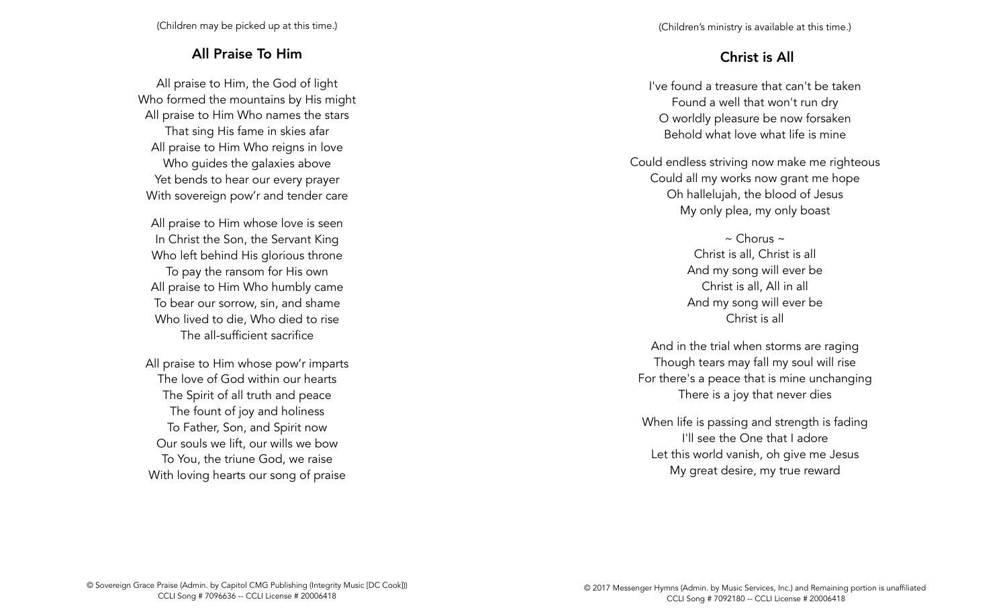# All Praise To Him

All praise to Him, the God of light Who formed the mountains by His might All praise to Him Who names the stars That sing His fame in skies afar All praise to Him Who reigns in love Who guides the galaxies above Yet bends to hear our every prayer With sovereign pow'r and tender care

All praise to Him whose love is seen In Christ the Son, the Servant King Who left behind His glorious throne To pay the ransom for His own All praise to Him Who humbly came To bear our sorrow, sin, and shame Who lived to die, Who died to rise The all-sufficient sacrifice

All praise to Him whose pow'r imparts The love of God within our hearts The Spirit of all truth and peace The fount of joy and holiness To Father, Son, and Spirit now Our souls we lift, our wills we bow To You, the triune God, we raise With loving hearts our song of praise

# Christ is All

I've found a treasure that can't be taken Found a well that won't run dry O worldly pleasure be now forsaken Behold what love what life is mine

Could endless striving now make me righteous Could all my works now grant me hope Oh hallelujah, the blood of Jesus My only plea, my only boast

> $\sim$  Chorus  $\sim$ Christ is all, Christ is all And my song will ever be Christ is all, All in all And my song will ever be Christ is all

And in the trial when storms are raging Though tears may fall my soul will rise For there's a peace that is mine unchanging There is a joy that never dies

When life is passing and strength is fading I'll see the One that I adore Let this world vanish, oh give me Jesus My great desire, my true reward